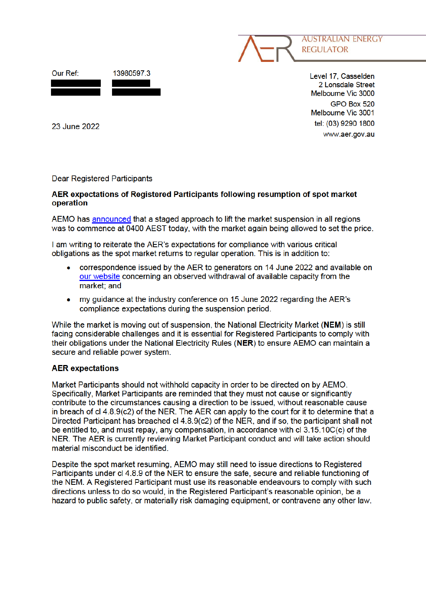



Level 17, Casselden 2 Lonsdale Street Melbourne Vic 3000 GPO Box 520 Melbourne Vic 3001 tel: (03) 9290 1800 www.aer.gov.au

23 June 2022

**Dear Registered Participants** 

## AER expectations of Registered Participants following resumption of spot market operation

AEMO has announced that a staged approach to lift the market suspension in all regions was to commence at 0400 AEST today, with the market again being allowed to set the price.

I am writing to reiterate the AER's expectations for compliance with various critical obligations as the spot market returns to regular operation. This is in addition to:

- correspondence issued by the AER to generators on 14 June 2022 and available on our website concerning an observed withdrawal of available capacity from the market: and
- my quidance at the industry conference on 15 June 2022 regarding the AER's compliance expectations during the suspension period.

While the market is moving out of suspension, the National Electricity Market (NEM) is still facing considerable challenges and it is essential for Registered Participants to comply with their obligations under the National Electricity Rules (NER) to ensure AEMO can maintain a secure and reliable power system.

## **AER** expectations

Market Participants should not withhold capacity in order to be directed on by AEMO. Specifically, Market Participants are reminded that they must not cause or significantly contribute to the circumstances causing a direction to be issued, without reasonable cause in breach of cl 4.8.9(c2) of the NER. The AER can apply to the court for it to determine that a Directed Participant has breached cl 4.8.9(c2) of the NER, and if so, the participant shall not be entitled to, and must repay, any compensation, in accordance with cl 3.15.10C(c) of the NER. The AER is currently reviewing Market Participant conduct and will take action should material misconduct be identified.

Despite the spot market resuming, AEMO may still need to issue directions to Registered Participants under cl 4.8.9 of the NER to ensure the safe, secure and reliable functioning of the NEM. A Registered Participant must use its reasonable endeavours to comply with such directions unless to do so would, in the Registered Participant's reasonable opinion, be a hazard to public safety, or materially risk damaging equipment, or contravene any other law.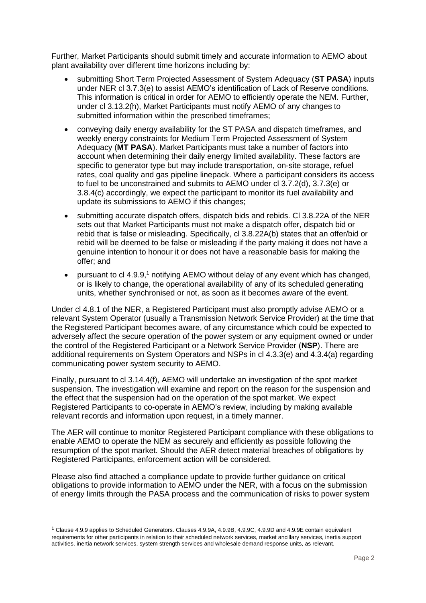Further, Market Participants should submit timely and accurate information to AEMO about plant availability over different time horizons including by:

- submitting Short Term Projected Assessment of System Adequacy (**ST PASA**) inputs under NER cl 3.7.3(e) to assist AEMO's identification of Lack of Reserve conditions. This information is critical in order for AEMO to efficiently operate the NEM. Further, under cl 3.13.2(h), Market Participants must notify AEMO of any changes to submitted information within the prescribed timeframes;
- conveying daily energy availability for the ST PASA and dispatch timeframes, and weekly energy constraints for Medium Term Projected Assessment of System Adequacy (**MT PASA**). Market Participants must take a number of factors into account when determining their daily energy limited availability. These factors are specific to generator type but may include transportation, on-site storage, refuel rates, coal quality and gas pipeline linepack. Where a participant considers its access to fuel to be unconstrained and submits to AEMO under cl 3.7.2(d), 3.7.3(e) or 3.8.4(c) accordingly, we expect the participant to monitor its fuel availability and update its submissions to AEMO if this changes;
- submitting accurate dispatch offers, dispatch bids and rebids. Cl 3.8.22A of the NER sets out that Market Participants must not make a dispatch offer, dispatch bid or rebid that is false or misleading. Specifically, cl 3.8.22A(b) states that an offer/bid or rebid will be deemed to be false or misleading if the party making it does not have a genuine intention to honour it or does not have a reasonable basis for making the offer; and
- pursuant to cl 4.9.9,<sup>1</sup> notifying AEMO without delay of any event which has changed, or is likely to change, the operational availability of any of its scheduled generating units, whether synchronised or not, as soon as it becomes aware of the event.

Under cl 4.8.1 of the NER, a Registered Participant must also promptly advise AEMO or a relevant System Operator (usually a Transmission Network Service Provider) at the time that the Registered Participant becomes aware, of any circumstance which could be expected to adversely affect the secure operation of the power system or any equipment owned or under the control of the Registered Participant or a Network Service Provider (**NSP**). There are additional requirements on System Operators and NSPs in cl 4.3.3(e) and 4.3.4(a) regarding communicating power system security to AEMO.

Finally, pursuant to cl 3.14.4(f), AEMO will undertake an investigation of the spot market suspension. The investigation will examine and report on the reason for the suspension and the effect that the suspension had on the operation of the spot market. We expect Registered Participants to co-operate in AEMO's review, including by making available relevant records and information upon request, in a timely manner.

The AER will continue to monitor Registered Participant compliance with these obligations to enable AEMO to operate the NEM as securely and efficiently as possible following the resumption of the spot market. Should the AER detect material breaches of obligations by Registered Participants, enforcement action will be considered.

Please also find attached a compliance update to provide further guidance on critical obligations to provide information to AEMO under the NER, with a focus on the submission of energy limits through the PASA process and the communication of risks to power system

<sup>1</sup> Clause 4.9.9 applies to Scheduled Generators. Clauses 4.9.9A, 4.9.9B, 4.9.9C, 4.9.9D and 4.9.9E contain equivalent requirements for other participants in relation to their scheduled network services, market ancillary services, inertia support activities, inertia network services, system strength services and wholesale demand response units, as relevant.